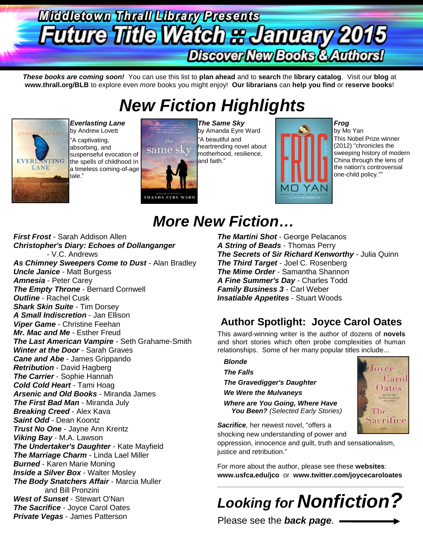# **Middletown Thrall Library Presents Future Title Watch & January 2015** Discover New Books & Authors!

*These books are coming soon!* You can use this list to **plan ahead** and to **search** the **library catalog**. Visit our **blog** at **www.thrall.org/BLB** to explore even *more* books you might enjoy! **Our librarians** can **help you find** or **reserve books**!

# *New Fiction Highlights*



*Everlasting Lane*  by Andrew Lovett "A captivating, absorbing, and suspenseful evocation of the spells of childhood In a timeless coming-of-age tale."



*The Same Sky* by Amanda Eyre Ward "A beautiful and heartrending novel about motherhood, resilience, and faith."

*More New Fiction…*



### *Frog*

by Mo Yan This Nobel Prize winner (2012) "chronicles the sweeping history of modern China through the lens of the nation's controversial one-child policy.""

### *First Frost* - Sarah Addison Allen *Christopher's Diary: Echoes of Dollanganger* - V.C. Andrews *As Chimney Sweepers Come to Dust* - Alan Bradley *Uncle Janice* - Matt Burgess *Amnesia* - Peter Carey *The Empty Throne - Bernard Cornwell Outline* - Rachel Cusk *Shark Skin Suite* - Tim Dorsey *A Small Indiscretion* - Jan Ellison *Viper Game* - Christine Feehan *Mr. Mac and Me* - Esther Freud *The Last American Vampire* - Seth Grahame-Smith *Winter at the Door* - Sarah Graves *Cane and Abe* - James Grippando *Retribution* - David Hagberg *The Carrier* - Sophie Hannah *Cold Cold Heart* - Tami Hoag *Arsenic and Old Books* - Miranda James *The First Bad Man* - Miranda July *Breaking Creed* - Alex Kava *Saint Odd* - Dean Koontz *Trust No One* - Jayne Ann Krentz *Viking Bay* - M.A. Lawson *The Undertaker's Daughter* - Kate Mayfield *The Marriage Charm* - Linda Lael Miller *Burned* - Karen Marie Moning *Inside a Silver Box* - Walter Mosley *The Body Snatchers Affair* - Marcia Muller and Bill Pronzini *West of Sunset* - Stewart O'Nan *The Sacrifice* - Joyce Carol Oates *Private Vegas* - James Patterson

*The Martini Shot* - George Pelacanos *A String of Beads* - Thomas Perry *The Secrets of Sir Richard Kenworthy* - Julia Quinn *The Third Target* - Joel C. Rosenberg *The Mime Order* - Samantha Shannon *A Fine Summer's Day* - Charles Todd *Family Business 3* - Carl Weber *Insatiable Appetites* - Stuart Woods

## **Author Spotlight: Joyce Carol Oates**

This award-winning writer is the author of dozens of **novels** and short stories which often probe complexities of human relationships. Some of her many popular titles include...

### *Blonde*

*The Falls*

*The Gravedigger's Daughter*

*We Were the Mulvaneys*

*Where are You Going, Where Have You Been? (Selected Early Stories)*



*Sacrifice,* her newest novel, "offers a shocking new understanding of power and

oppression, innocence and guilt, truth and sensationalism, justice and retribution."

For more about the author, please see these **websites**: **[www.usfca.edu/jco](http://www.usfca.edu/jco)** or **[www.twitter.com/joycecaroloates](http://www.twitter.com/joycecaroloates)**

# *Looking for Nonfiction?*

 $\_$  ,  $\_$  ,  $\_$  ,  $\_$  ,  $\_$  ,  $\_$  ,  $\_$  ,  $\_$  ,  $\_$  ,  $\_$  ,  $\_$  ,  $\_$  ,  $\_$  ,  $\_$  ,  $\_$  ,  $\_$  ,  $\_$  ,  $\_$  ,  $\_$  ,  $\_$  ,  $\_$  ,  $\_$  ,  $\_$  ,  $\_$  ,  $\_$  ,  $\_$  ,  $\_$  ,  $\_$  ,  $\_$  ,  $\_$  ,  $\_$  ,  $\_$  ,  $\_$  ,  $\_$  ,  $\_$  ,  $\_$  ,  $\_$  ,

Please see the *back page.*